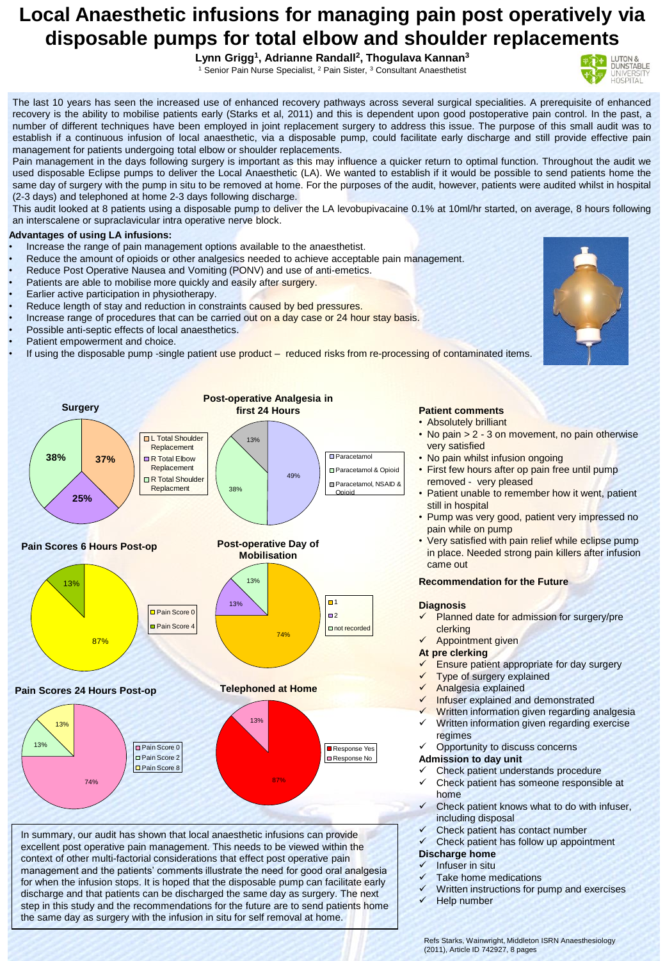# **Local Anaesthetic infusions for managing pain post operatively via disposable pumps for total elbow and shoulder replacements**

**Lynn Grigg<sup>1</sup> , Adrianne Randall<sup>2</sup> , Thogulava Kannan<sup>3</sup>** <sup>1</sup> Senior Pain Nurse Specialist, <sup>2</sup> Pain Sister, <sup>3</sup> Consultant Anaesthetist

LUTON &<br>DUNSTABLE

The last 10 years has seen the increased use of enhanced recovery pathways across several surgical specialities. A prerequisite of enhanced recovery is the ability to mobilise patients early (Starks et al, 2011) and this is dependent upon good postoperative pain control. In the past, a number of different techniques have been employed in joint replacement surgery to address this issue. The purpose of this small audit was to establish if a continuous infusion of local anaesthetic, via a disposable pump, could facilitate early discharge and still provide effective pain management for patients undergoing total elbow or shoulder replacements.

Pain management in the days following surgery is important as this may influence a quicker return to optimal function. Throughout the audit we used disposable Eclipse pumps to deliver the Local Anaesthetic (LA). We wanted to establish if it would be possible to send patients home the same day of surgery with the pump in situ to be removed at home. For the purposes of the audit, however, patients were audited whilst in hospital (2-3 days) and telephoned at home 2-3 days following discharge.

This audit looked at 8 patients using a disposable pump to deliver the LA levobupivacaine 0.1% at 10ml/hr started, on average, 8 hours following an interscalene or supraclavicular intra operative nerve block.

# **Advantages of using LA infusions:**

- Increase the range of pain management options available to the anaesthetist.
- Reduce the amount of opioids or other analgesics needed to achieve acceptable pain management.
- Reduce Post Operative Nausea and Vomiting (PONV) and use of anti-emetics.
- Patients are able to mobilise more quickly and easily after surgery.
- Earlier active participation in physiotherapy.
- Reduce length of stay and reduction in constraints caused by bed pressures.
- Increase range of procedures that can be carried out on a day case or 24 hour stay basis.
- Possible anti-septic effects of local anaesthetics.
- Patient empowerment and choice.
- If using the disposable pump -single patient use product reduced risks from re-processing of contaminated items.



In summary, our audit has shown that local anaesthetic infusions can provide excellent post operative pain management. This needs to be viewed within the context of other multi-factorial considerations that effect post operative pain management and the patients' comments illustrate the need for good oral analgesia for when the infusion stops. It is hoped that the disposable pump can facilitate early discharge and that patients can be discharged the same day as surgery. The next step in this study and the recommendations for the future are to send patients home the same day as surgery with the infusion in situ for self removal at home.

### **Patient comments** • Absolutely brilliant

- No pain > 2 3 on movement, no pain otherwise very satisfied
- No pain whilst infusion ongoing
- First few hours after op pain free until pump removed - very pleased
- Patient unable to remember how it went, patient still in hospital
- Pump was very good, patient very impressed no pain while on pump
- Very satisfied with pain relief while eclipse pump in place. Needed strong pain killers after infusion came out

## **Recommendation for the Future**

## **Diagnosis**

- Planned date for admission for surgery/pre clerking
- Appointment given

## **At pre clerking**

- Ensure patient appropriate for day surgery
- Type of surgery explained
- Analgesia explained
- Infuser explained and demonstrated
- Written information given regarding analgesia  $\checkmark$  Written information given regarding exercise
- regimes
- Opportunity to discuss concerns

# **Admission to day unit**

- $\checkmark$  Check patient understands procedure<br> $\checkmark$  Check patient has someone responsibly
- Check patient has someone responsible at home
- Check patient knows what to do with infuser, including disposal
- Check patient has contact number

# $\checkmark$  Check patient has follow up appointment

#### **Discharge home** Infuser in situ

- Take home medications
- Written instructions for pump and exercises
- **Help number**